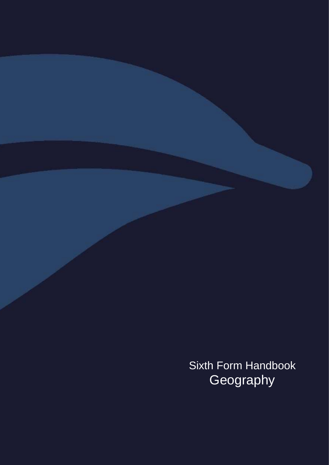Sixth Form Handbook Geography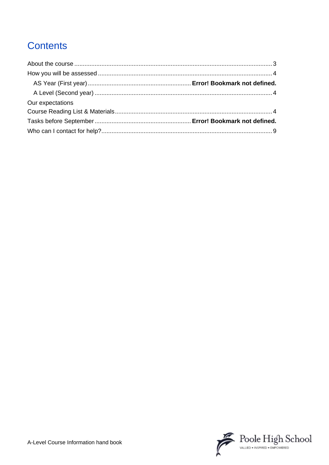# **Contents**

<span id="page-1-0"></span>

| Our expectations |  |
|------------------|--|
|                  |  |
|                  |  |
|                  |  |

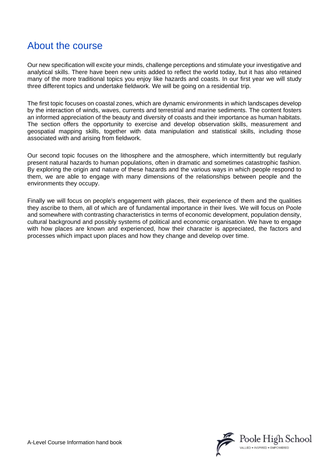# About the course

Our new specification will excite your minds, challenge perceptions and stimulate your investigative and analytical skills. There have been new units added to reflect the world today, but it has also retained many of the more traditional topics you enjoy like hazards and coasts. In our first year we will study three different topics and undertake fieldwork. We will be going on a residential trip.

The first topic focuses on coastal zones, which are dynamic environments in which landscapes develop by the interaction of winds, waves, currents and terrestrial and marine sediments. The content fosters an informed appreciation of the beauty and diversity of coasts and their importance as human habitats. The section offers the opportunity to exercise and develop observation skills, measurement and geospatial mapping skills, together with data manipulation and statistical skills, including those associated with and arising from fieldwork.

Our second topic focuses on the lithosphere and the atmosphere, which intermittently but regularly present natural hazards to human populations, often in dramatic and sometimes catastrophic fashion. By exploring the origin and nature of these hazards and the various ways in which people respond to them, we are able to engage with many dimensions of the relationships between people and the environments they occupy.

<span id="page-2-0"></span>Finally we will focus on people's engagement with places, their experience of them and the qualities they ascribe to them, all of which are of fundamental importance in their lives. We will focus on Poole and somewhere with contrasting characteristics in terms of economic development, population density, cultural background and possibly systems of political and economic organisation. We have to engage with how places are known and experienced, how their character is appreciated, the factors and processes which impact upon places and how they change and develop over time.

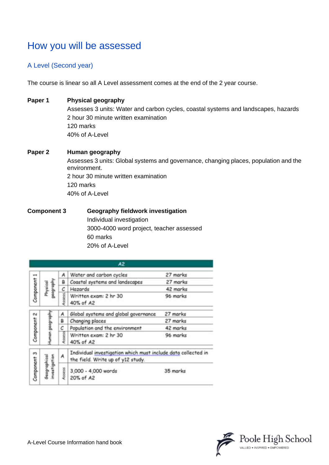# How you will be assessed

## <span id="page-3-0"></span>A Level (Second year)

The course is linear so all A Level assessment comes at the end of the 2 year course.

### **Paper 1 Physical geography**

Assesses 3 units: Water and carbon cycles, coastal systems and landscapes, hazards 2 hour 30 minute written examination 120 marks 40% of A-Level

## **Paper 2 Human geography** Assesses 3 units: Global systems and governance, changing places, population and the environment. 2 hour 30 minute written examination 120 marks 40% of A-Level

## **Component 3 Geography fieldwork investigation** Individual investigation 3000-4000 word project, teacher assessed 60 marks 20% of A-Level

<span id="page-3-1"></span>

|                        |                       |                              | A2                                                                                                 |                                  |
|------------------------|-----------------------|------------------------------|----------------------------------------------------------------------------------------------------|----------------------------------|
| Component <sub>1</sub> | lida.dood<br>Physical | A                            | Water and carbon cycles                                                                            | 27 marks                         |
|                        |                       | в                            | Coastal systems and landscapes                                                                     | 27 marks                         |
|                        |                       | с                            | Hazards                                                                                            | 42 marks                         |
|                        |                       | <b>ISBRES</b>                | Written exam: 2 hr 30<br>40% of A2                                                                 | 96 marks                         |
| Component 2            | geograph<br>Ş         | А                            | Global systems and global governance                                                               | 27 marks                         |
|                        |                       | в                            | Changing places                                                                                    | 27 marks                         |
|                        |                       | с                            | Population and the environment                                                                     | 42 marks                         |
|                        |                       | SSIESS                       | Written exam: 2 hr 30<br>40% of A2                                                                 | 96 marks                         |
| Component 3            |                       | A                            | Individual investigation which must include data collected in<br>the field. Write up of y12 study. |                                  |
|                        |                       | nvestigation<br>Seographical | Assess                                                                                             | 3,000 - 4,000 words<br>20% of A2 |

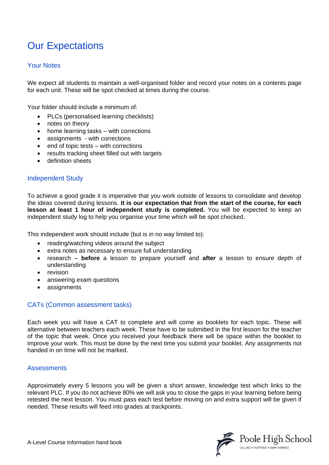# Our Expectations

## Your Notes

We expect all students to maintain a well-organised folder and record your notes on a contents page for each unit. These will be spot checked at times during the course.

Your folder should include a minimum of:

- PLCs (personalised learning checklists)
- notes on theory
- home learning tasks with corrections
- assignments with corrections
- end of topic tests with corrections
- results tracking sheet filled out with targets
- definition sheets

#### Independent Study

To achieve a good grade it is imperative that you work outside of lessons to consolidate and develop the ideas covered during lessons. **It is our expectation that from the start of the course, for each lesson at least 1 hour of independent study is completed.** You will be expected to keep an independent study log to help you organise your time which will be spot checked.

This independent work should include (but is in no way limited to):

- reading/watching videos around the subject
- extra notes as necessary to ensure full understanding
- research **before** a lesson to prepare yourself and **after** a lesson to ensure depth of understanding
- revision
- answering exam questions
- assignments

#### CATs (Common assessment tasks)

Each week you will have a CAT to complete and will come as booklets for each topic. These will alternative between teachers each week. These have to be submitted in the first lesson for the teacher of the topic that week. Once you received your feedback there will be space within the booklet to improve your work. This must be done by the next time you submit your booklet. Any assignments not handed in on time will not be marked.

#### **Assessments**

Approximately every 5 lessons you will be given a short answer, knowledge test which links to the relevant PLC. If you do not achieve 80% we will ask you to close the gaps in your learning before being retested the next lesson. You must pass each test before moving on and extra support will be given if needed. These results will feed into grades at trackpoints.

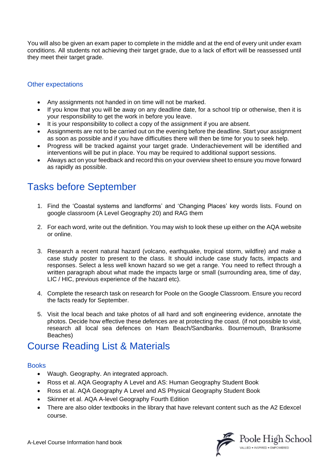You will also be given an exam paper to complete in the middle and at the end of every unit under exam conditions. All students not achieving their target grade, due to a lack of effort will be reassessed until they meet their target grade.

## Other expectations

- Any assignments not handed in on time will not be marked.
- If you know that you will be away on any deadline date, for a school trip or otherwise, then it is your responsibility to get the work in before you leave.
- It is your responsibility to collect a copy of the assignment if you are absent.
- Assignments are not to be carried out on the evening before the deadline. Start your assignment as soon as possible and if you have difficulties there will then be time for you to seek help.
- Progress will be tracked against your target grade. Underachievement will be identified and interventions will be put in place. You may be required to additional support sessions.
- Always act on your feedback and record this on your overview sheet to ensure you move forward as rapidly as possible.

# Tasks before September

- 1. Find the 'Coastal systems and landforms' and 'Changing Places' key words lists. Found on google classroom (A Level Geography 20) and RAG them
- 2. For each word, write out the definition. You may wish to look these up either on the AQA website or online.
- 3. Research a recent natural hazard (volcano, earthquake, tropical storm, wildfire) and make a case study poster to present to the class. It should include case study facts, impacts and responses. Select a less well known hazard so we get a range. You need to reflect through a written paragraph about what made the impacts large or small (surrounding area, time of day, LIC / HIC, previous experience of the hazard etc).
- 4. Complete the research task on research for Poole on the Google Classroom. Ensure you record the facts ready for September.
- 5. Visit the local beach and take photos of all hard and soft engineering evidence, annotate the photos. Decide how effective these defences are at protecting the coast. (if not possible to visit, research all local sea defences on Ham Beach/Sandbanks. Bournemouth, Branksome Beaches)

# Course Reading List & Materials

### **Books**

- Waugh. Geography. An integrated approach.
- Ross et al. [AQA Geography A Level and AS: Human Geography Student Book](https://global.oup.com/education/product/9780198366546?region=uk)
- Ross et al. AQA Geography A Level and [AS Physical Geography Student Book](https://global.oup.com/education/product/9780198366515?region=uk)
- Skinner et al. AQA A-level Geography Fourth Edition
- There are also older textbooks in the library that have relevant content such as the A2 Edexcel course.

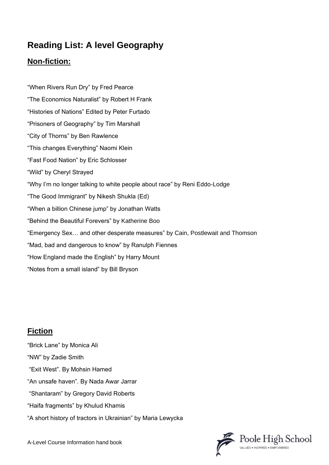# **Reading List: A level Geography**

## **Non-fiction:**

"When Rivers Run Dry" by Fred Pearce "The Economics Naturalist" by Robert H Frank "Histories of Nations" Edited by Peter Furtado "Prisoners of Geography" by Tim Marshall "City of Thorns" by Ben Rawlence "This changes Everything" Naomi Klein "Fast Food Nation" by Eric Schlosser "Wild" by Cheryl Strayed "Why I'm no longer talking to white people about race" by Reni Eddo-Lodge "The Good Immigrant" by Nikesh Shukla (Ed) "When a billion Chinese jump" by Jonathan Watts "Behind the Beautiful Forevers" by Katherine Boo "Emergency Sex… and other desperate measures" by Cain, Postlewait and Thomson "Mad, bad and dangerous to know" by Ranulph Fiennes "How England made the English" by Harry Mount "Notes from a small island" by Bill Bryson

# **Fiction**

"Brick Lane" by Monica Ali "NW" by Zadie Smith "Exit West". By Mohsin Hamed "An unsafe haven". By Nada Awar Jarrar "Shantaram" by Gregory David Roberts "Haifa fragments" by Khulud Khamis "A short history of tractors in Ukrainian" by Maria Lewycka



A-Level Course Information hand book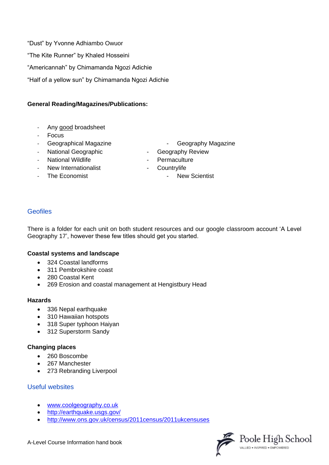"Dust" by Yvonne Adhiambo Owuor "The Kite Runner" by Khaled Hosseini "Americannah" by Chimamanda Ngozi Adichie "Half of a yellow sun" by Chimamanda Ngozi Adichie

### **General Reading/Magazines/Publications:**

- Any good broadsheet
- **Focus**
- 
- 
- 
- New Internationalist **New Internationalist Countrylife**
- 
- Geographical Magazine **Contact Contact Contact Contact Contact Contact Contact Contact Contact Contact Contact Contact Contact Contact Contact Contact Contact Contact Contact Contact Contact Contact Contact Contact Contact**
- National Geographic  **Geography Review**
- National Wildlife **National Wildlife National Wildlife All Accords Permaculture** 
	-
	- The Economist **The Economist CONS FINE SCIENCE 1 New Scientist**

## Geofiles

There is a folder for each unit on both student resources and our google classroom account 'A Level Geography 17', however these few titles should get you started.

#### **Coastal systems and landscape**

- 324 Coastal landforms
- 311 Pembrokshire coast
- 280 Coastal Kent
- 269 Erosion and coastal management at Hengistbury Head

#### **Hazards**

- 336 Nepal earthquake
- 310 Hawaiian hotspots
- 318 Super typhoon Haiyan
- 312 Superstorm Sandy

#### **Changing places**

- 260 Boscombe
- 267 Manchester
- 273 Rebranding Liverpool

### Useful websites

- [www.coolgeography.co.uk](http://www.coolgeography.co.uk/)
- <http://earthquake.usgs.gov/>
- <http://www.ons.gov.uk/census/2011census/2011ukcensuses>